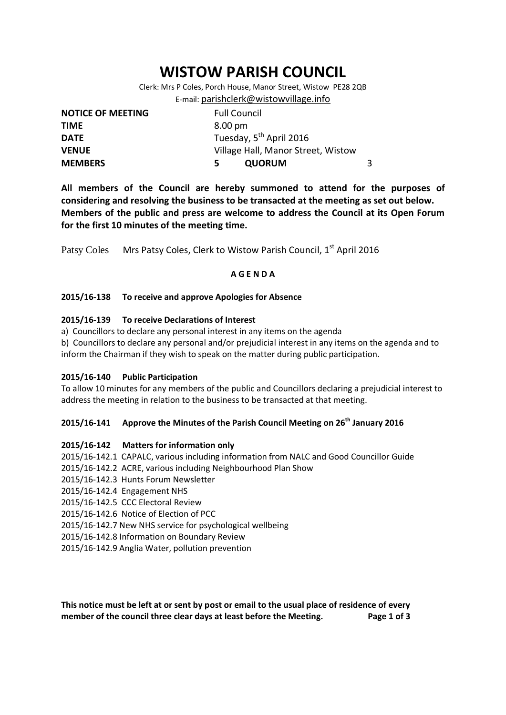# **WISTOW PARISH COUNCIL**

Clerk: Mrs P Coles, Porch House, Manor Street, Wistow PE28 2QB E-mail: [parishclerk@wistowvillage.info](mailto:parishclerk@wistowvillage.info)

| <b>NOTICE OF MEETING</b> | <b>Full Council</b>                 |   |  |
|--------------------------|-------------------------------------|---|--|
| <b>TIME</b>              | 8.00 pm                             |   |  |
| <b>DATE</b>              | Tuesday, 5 <sup>th</sup> April 2016 |   |  |
| <b>VENUE</b>             | Village Hall, Manor Street, Wistow  |   |  |
| <b>MEMBERS</b>           | <b>QUORUM</b><br>5                  | 3 |  |

**All members of the Council are hereby summoned to attend for the purposes of considering and resolving the business to be transacted at the meeting as set out below. Members of the public and press are welcome to address the Council at its Open Forum for the first 10 minutes of the meeting time.**

Patsy Coles Mrs Patsy Coles, Clerk to Wistow Parish Council, 1<sup>st</sup> April 2016

#### **A G E N D A**

#### **2015/16-138 To receive and approve Apologies for Absence**

## **2015/16-139 To receive Declarations of Interest**

- a) Councillors to declare any personal interest in any items on the agenda
- b) Councillors to declare any personal and/or prejudicial interest in any items on the agenda and to inform the Chairman if they wish to speak on the matter during public participation.

#### **2015/16-140 Public Participation**

To allow 10 minutes for any members of the public and Councillors declaring a prejudicial interest to address the meeting in relation to the business to be transacted at that meeting.

## **2015/16-141 Approve the Minutes of the Parish Council Meeting on 26th January 2016**

#### **2015/16-142 Matters for information only**

- 2015/16-142.1 CAPALC, various including information from NALC and Good Councillor Guide
- 2015/16-142.2 ACRE, various including Neighbourhood Plan Show
- 2015/16-142.3 Hunts Forum Newsletter
- 2015/16-142.4 Engagement NHS
- 2015/16-142.5 CCC Electoral Review
- 2015/16-142.6 Notice of Election of PCC
- 2015/16-142.7 New NHS service for psychological wellbeing
- 2015/16-142.8 Information on Boundary Review
- 2015/16-142.9 Anglia Water, pollution prevention

**This notice must be left at or sent by post or email to the usual place of residence of every member of the council three clear days at least before the Meeting. Page 1 of 3**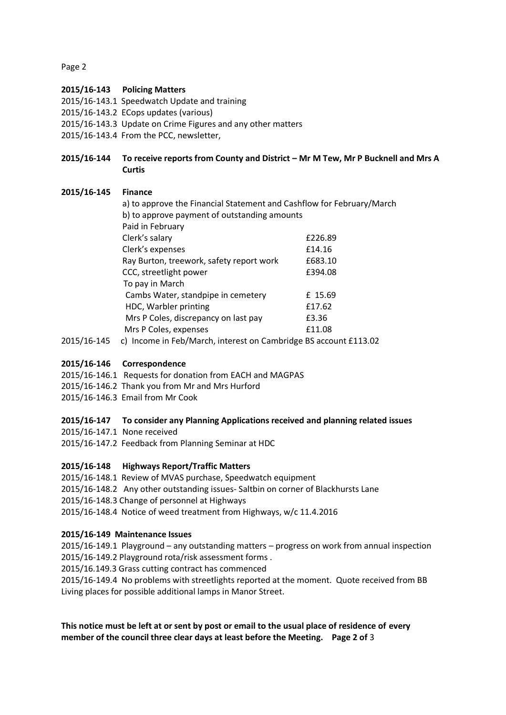Page 2

## **2015/16-143 Policing Matters**

2015/16-143.1 Speedwatch Update and training

- 2015/16-143.2 ECops updates (various)
- 2015/16-143.3 Update on Crime Figures and any other matters

2015/16-143.4 From the PCC, newsletter,

**2015/16-144 To receive reports from County and District – Mr M Tew, Mr P Bucknell and Mrs A Curtis**

## **2015/16-145 Finance**

|             | a) to approve the Financial Statement and Cashflow for February/March |         |
|-------------|-----------------------------------------------------------------------|---------|
|             | b) to approve payment of outstanding amounts                          |         |
|             | Paid in February                                                      |         |
|             | Clerk's salary                                                        | £226.89 |
|             | Clerk's expenses                                                      | £14.16  |
|             | Ray Burton, treework, safety report work                              | £683.10 |
|             | CCC, streetlight power                                                | £394.08 |
|             | To pay in March                                                       |         |
|             | Cambs Water, standpipe in cemetery                                    | £ 15.69 |
|             | HDC, Warbler printing                                                 | £17.62  |
|             | Mrs P Coles, discrepancy on last pay                                  | £3.36   |
|             | Mrs P Coles, expenses                                                 | £11.08  |
| 2015/16-145 | c) Income in Eeb/March, interest on Cambridge BS account £113.02      |         |

2015/16-145 c) Income in Feb/March, interest on Cambridge BS account £113.02

## **2015/16-146 Correspondence**

- 2015/16-146.1 Requests for donation from EACH and MAGPAS
- 2015/16-146.2 Thank you from Mr and Mrs Hurford
- 2015/16-146.3 Email from Mr Cook

## **2015/16-147 To consider any Planning Applications received and planning related issues**

2015/16-147.1 None received

2015/16-147.2 Feedback from Planning Seminar at HDC

## **2015/16-148 Highways Report/Traffic Matters**

2015/16-148.1 Review of MVAS purchase, Speedwatch equipment

2015/16-148.2 Any other outstanding issues- Saltbin on corner of Blackhursts Lane

2015/16-148.3 Change of personnel at Highways

2015/16-148.4 Notice of weed treatment from Highways, w/c 11.4.2016

## **2015/16-149 Maintenance Issues**

2015/16-149.1 Playground – any outstanding matters – progress on work from annual inspection 2015/16-149.2 Playground rota/risk assessment forms .

2015/16.149.3 Grass cutting contract has commenced

2015/16-149.4 No problems with streetlights reported at the moment. Quote received from BB Living places for possible additional lamps in Manor Street.

**This notice must be left at or sent by post or email to the usual place of residence of every member of the council three clear days at least before the Meeting. Page 2 of** 3